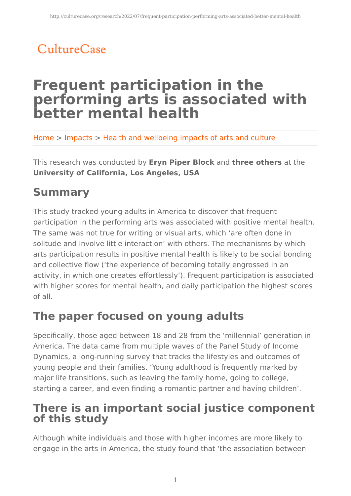# CultureCase

# **Frequent participation in the performing arts is associated with better mental health**

Home > Impacts > Health and wellbeing impacts of arts and culture

This research was conducted by **Eryn Piper Block** and **three others** at the **University of California, Los Angeles, USA**

## **Summary**

This study tracked young adults in America to discover that frequent participation in the performing arts was associated with positive mental health. The same was not true for writing or visual arts, which 'are often done in solitude and involve little interaction' with others. The mechanisms by which arts participation results in positive mental health is likely to be social bonding and collective flow ('the experience of becoming totally engrossed in an activity, in which one creates effortlessly'). Frequent participation is associated with higher scores for mental health, and daily participation the highest scores of all.

## **The paper focused on young adults**

Specifically, those aged between 18 and 28 from the 'millennial' generation in America. The data came from multiple waves of the Panel Study of Income Dynamics, a long-running survey that tracks the lifestyles and outcomes of young people and their families. 'Young adulthood is frequently marked by major life transitions, such as leaving the family home, going to college, starting a career, and even finding a romantic partner and having children'.

### **There is an important social justice component of this study**

Although white individuals and those with higher incomes are more likely to engage in the arts in America, the study found that 'the association between